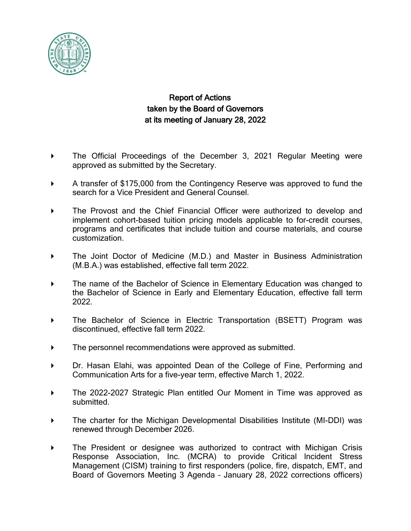

## Report of Actions taken by the Board of Governors at its meeting of January 28, 2022

- The Official Proceedings of the December 3, 2021 Regular Meeting were approved as submitted by the Secretary.
- A transfer of \$175,000 from the Contingency Reserve was approved to fund the search for a Vice President and General Counsel.
- The Provost and the Chief Financial Officer were authorized to develop and implement cohort-based tuition pricing models applicable to for-credit courses, programs and certificates that include tuition and course materials, and course customization.
- The Joint Doctor of Medicine (M.D.) and Master in Business Administration (M.B.A.) was established, effective fall term 2022.
- **The name of the Bachelor of Science in Elementary Education was changed to** the Bachelor of Science in Early and Elementary Education, effective fall term 2022.
- The Bachelor of Science in Electric Transportation (BSETT) Program was discontinued, effective fall term 2022.
- The personnel recommendations were approved as submitted.
- Dr. Hasan Elahi, was appointed Dean of the College of Fine, Performing and Communication Arts for a five-year term, effective March 1, 2022.
- The 2022-2027 Strategic Plan entitled Our Moment in Time was approved as submitted.
- The charter for the Michigan Developmental Disabilities Institute (MI-DDI) was renewed through December 2026.
- The President or designee was authorized to contract with Michigan Crisis Response Association, Inc. (MCRA) to provide Critical lncident Stress Management (CISM) training to first responders (police, fire, dispatch, EMT, and Board of Governors Meeting 3 Agenda – January 28, 2022 corrections officers)